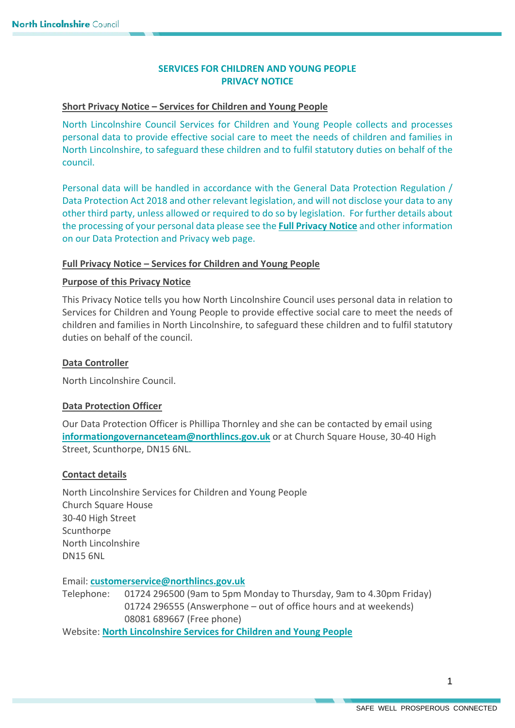# **SERVICES FOR CHILDREN AND YOUNG PEOPLE PRIVACY NOTICE**

## **Short Privacy Notice – Services for Children and Young People**

North Lincolnshire Council Services for Children and Young People collects and processes personal data to provide effective social care to meet the needs of children and families in North Lincolnshire, to safeguard these children and to fulfil statutory duties on behalf of the council.

Personal data will be handled in accordance with the General Data Protection Regulation / Data Protection Act 2018 and other relevant legislation, and will not disclose your data to any other third party, unless allowed or required to do so by legislation. For further details about the processing of your personal data please see the **[Full Privacy Notice](https://www.northlincs.gov.uk/your-council/about-your-council/information-and-performance/information-governance/data-protection-and-privacy/)** and other information on our Data Protection and Privacy web page.

### **Full Privacy Notice – Services for Children and Young People**

## **Purpose of this Privacy Notice**

This Privacy Notice tells you how North Lincolnshire Council uses personal data in relation to Services for Children and Young People to provide effective social care to meet the needs of children and families in North Lincolnshire, to safeguard these children and to fulfil statutory duties on behalf of the council.

### **Data Controller**

North Lincolnshire Council.

#### **Data Protection Officer**

Our Data Protection Officer is Phillipa Thornley and she can be contacted by email using **[informationgovernanceteam@northlincs.gov.uk](mailto:informationgovernanceteam@northlincs.gov.uk)** or at Church Square House, 30-40 High Street, Scunthorpe, DN15 6NL.

#### **Contact details**

North Lincolnshire Services for Children and Young People Church Square House 30-40 High Street Scunthorpe North Lincolnshire DN15 6NL

Email: **[customerservice@northlincs.gov.uk](mailto:customerservice@northlincs.gov.uk)**

Telephone: 01724 296500 (9am to 5pm Monday to Thursday, 9am to 4.30pm Friday) 01724 296555 (Answerphone – out of office hours and at weekends) 08081 689667 (Free phone)

Website: **[North Lincolnshire Services for Children and Young People](https://www.northlincs.gov.uk/people-health-and-care/services-for-children-and-young-people/)**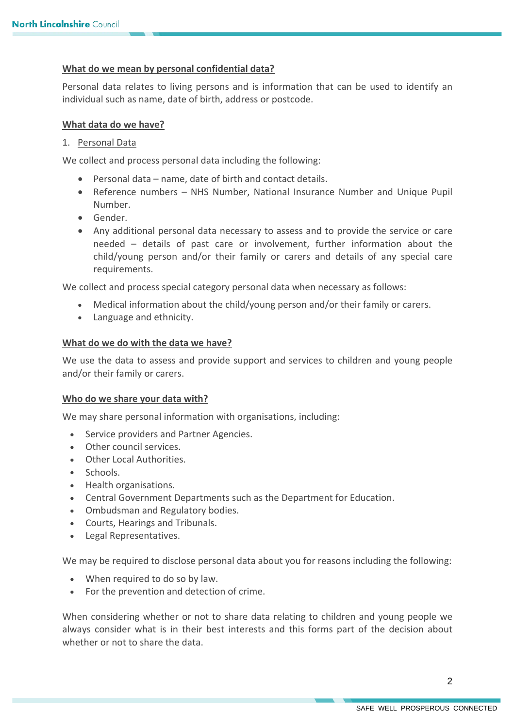### **What do we mean by personal confidential data?**

Personal data relates to living persons and is information that can be used to identify an individual such as name, date of birth, address or postcode.

### **What data do we have?**

### 1. Personal Data

We collect and process personal data including the following:

- Personal data name, date of birth and contact details.
- Reference numbers NHS Number, National Insurance Number and Unique Pupil Number.
- Gender.
- Any additional personal data necessary to assess and to provide the service or care needed – details of past care or involvement, further information about the child/young person and/or their family or carers and details of any special care requirements.

We collect and process special category personal data when necessary as follows:

- Medical information about the child/young person and/or their family or carers.
- Language and ethnicity.

#### **What do we do with the data we have?**

We use the data to assess and provide support and services to children and young people and/or their family or carers.

#### **Who do we share your data with?**

We may share personal information with organisations, including:

- Service providers and Partner Agencies.
- Other council services.
- Other Local Authorities.
- Schools.
- Health organisations.
- Central Government Departments such as the Department for Education.
- Ombudsman and Regulatory bodies.
- Courts, Hearings and Tribunals.
- Legal Representatives.

We may be required to disclose personal data about you for reasons including the following:

- When required to do so by law.
- For the prevention and detection of crime.

When considering whether or not to share data relating to children and young people we always consider what is in their best interests and this forms part of the decision about whether or not to share the data.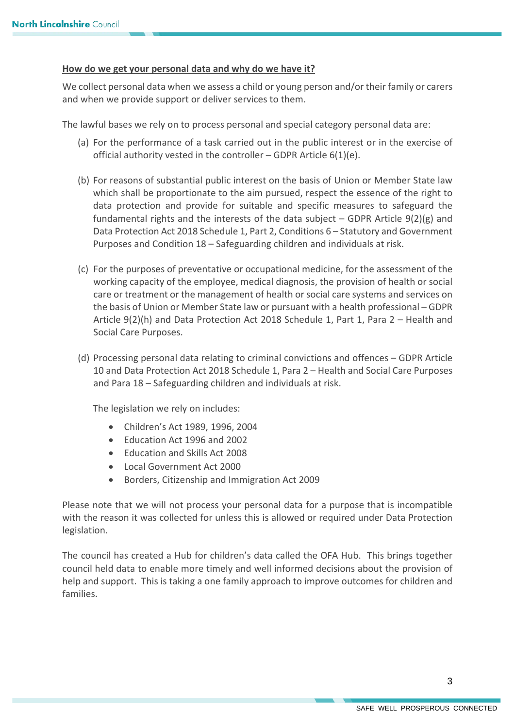### **How do we get your personal data and why do we have it?**

We collect personal data when we assess a child or young person and/or their family or carers and when we provide support or deliver services to them.

The lawful bases we rely on to process personal and special category personal data are:

- (a) For the performance of a task carried out in the public interest or in the exercise of official authority vested in the controller – GDPR Article  $6(1)(e)$ .
- (b) For reasons of substantial public interest on the basis of Union or Member State law which shall be proportionate to the aim pursued, respect the essence of the right to data protection and provide for suitable and specific measures to safeguard the fundamental rights and the interests of the data subject  $-$  GDPR Article 9(2)(g) and Data Protection Act 2018 Schedule 1, Part 2, Conditions 6 – Statutory and Government Purposes and Condition 18 – Safeguarding children and individuals at risk.
- (c) For the purposes of preventative or occupational medicine, for the assessment of the working capacity of the employee, medical diagnosis, the provision of health or social care or treatment or the management of health or social care systems and services on the basis of Union or Member State law or pursuant with a health professional – GDPR Article 9(2)(h) and Data Protection Act 2018 Schedule 1, Part 1, Para 2 – Health and Social Care Purposes.
- (d) Processing personal data relating to criminal convictions and offences GDPR Article 10 and Data Protection Act 2018 Schedule 1, Para 2 – Health and Social Care Purposes and Para 18 – Safeguarding children and individuals at risk.

The legislation we rely on includes:

- Children's Act 1989, 1996, 2004
- Education Act 1996 and 2002
- Education and Skills Act 2008
- Local Government Act 2000
- Borders, Citizenship and Immigration Act 2009

Please note that we will not process your personal data for a purpose that is incompatible with the reason it was collected for unless this is allowed or required under Data Protection legislation.

The council has created a Hub for children's data called the OFA Hub. This brings together council held data to enable more timely and well informed decisions about the provision of help and support. This is taking a one family approach to improve outcomes for children and families.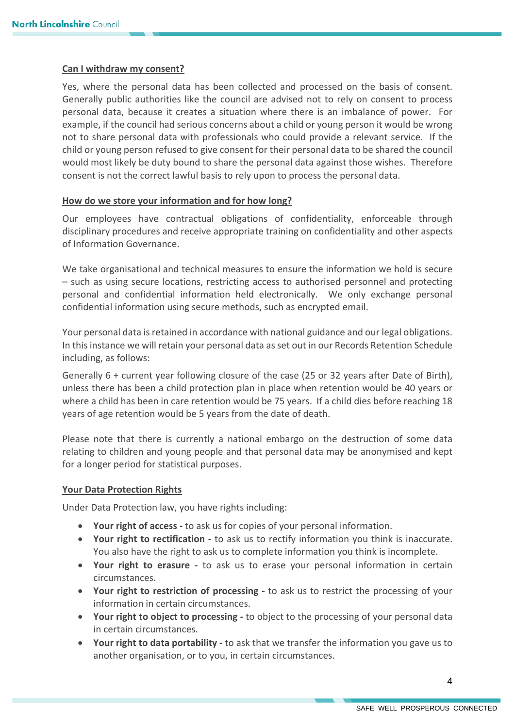#### **Can I withdraw my consent?**

Yes, where the personal data has been collected and processed on the basis of consent. Generally public authorities like the council are advised not to rely on consent to process personal data, because it creates a situation where there is an imbalance of power. For example, if the council had serious concerns about a child or young person it would be wrong not to share personal data with professionals who could provide a relevant service. If the child or young person refused to give consent for their personal data to be shared the council would most likely be duty bound to share the personal data against those wishes. Therefore consent is not the correct lawful basis to rely upon to process the personal data.

#### **How do we store your information and for how long?**

Our employees have contractual obligations of confidentiality, enforceable through disciplinary procedures and receive appropriate training on confidentiality and other aspects of Information Governance.

We take organisational and technical measures to ensure the information we hold is secure – such as using secure locations, restricting access to authorised personnel and protecting personal and confidential information held electronically. We only exchange personal confidential information using secure methods, such as encrypted email.

Your personal data is retained in accordance with national guidance and our legal obligations. In this instance we will retain your personal data as set out in our Records Retention Schedule including, as follows:

Generally 6 + current year following closure of the case (25 or 32 years after Date of Birth), unless there has been a child protection plan in place when retention would be 40 years or where a child has been in care retention would be 75 years. If a child dies before reaching 18 years of age retention would be 5 years from the date of death.

Please note that there is currently a national embargo on the destruction of some data relating to children and young people and that personal data may be anonymised and kept for a longer period for statistical purposes.

#### **Your Data Protection Rights**

Under Data Protection law, you have rights including:

- **Your right of access** to ask us for copies of your personal information.
- **Your right to rectification -** to ask us to rectify information you think is inaccurate. You also have the right to ask us to complete information you think is incomplete.
- **Your right to erasure -** to ask us to erase your personal information in certain circumstances.
- **Your right to restriction of processing -** to ask us to restrict the processing of your information in certain circumstances.
- **Your right to object to processing -** to object to the processing of your personal data in certain circumstances.
- **Your right to data portability** to ask that we transfer the information you gave us to another organisation, or to you, in certain circumstances.